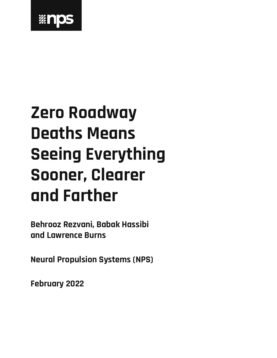

# **Zero Roadway Deaths Means Seeing Everything Sooner, Clearer and Farther**

**Behrooz Rezvani, Babak Hassibi and Lawrence Burns**

**Neural Propulsion Systems (NPS)**

**February 2022**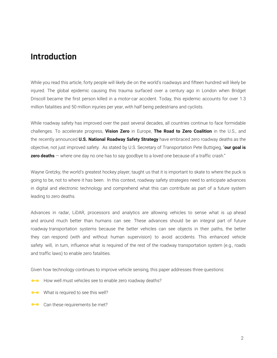# **Introduction**

While you read this article, forty people will likely die on the world's roadways and fifteen hundred will likely be injured. The global epidemic causing this trauma surfaced over a century ago in London when Bridget Driscoll became the first person killed in a motor-car accident. Today, this epidemic accounts for over 1.3 million fatalities and 50 million injuries per year, with half being pedestrians and cyclists.

While roadway safety has improved over the past several decades, all countries continue to face formidable challenges. To accelerate progress, **Vision Zero** in Europe, **The Road to Zero Coalition** in the U.S., and the recently announced **U.S. National Roadway Safety Strategy** have embraced zero roadway deaths as the objective, not just improved safety. As stated by U.S. Secretary of Transportation Pete Buttigieg, "**our goal is zero deaths** — where one day no one has to say goodbye to a loved one because of a traffic crash."

Wayne Gretzky, the world's greatest hockey player, taught us that it is important to skate to where the puck is going to be, not to where it has been. In this context, roadway safety strategies need to anticipate advances in digital and electronic technology and comprehend what this can contribute as part of a future system leading to zero deaths.

Advances in radar, LiDAR, processors and analytics are allowing vehicles to sense what is up ahead and around much better than humans can see. These advances should be an integral part of future roadway transportation systems because the better vehicles can see objects in their paths, the better they can respond (with and without human supervision) to avoid accidents. This enhanced vehicle safety will, in turn, influence what is required of the rest of the roadway transportation system (e.g., roads and traffic laws) to enable zero fatalities.

Given how technology continues to improve vehicle sensing, this paper addresses three questions:

- How well must vehicles see to enable zero roadway deaths?
- What is required to see this well?
- can these requirements be met?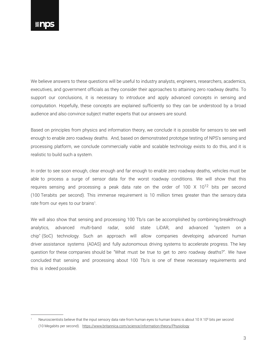We believe answers to these questions will be useful to industry analysts, engineers, researchers, academics, executives, and government officials as they consider their approaches to attaining zero roadway deaths. To support our conclusions, it is necessary to introduce and apply advanced concepts in sensing and computation. Hopefully, these concepts are explained sufficiently so they can be understood by a broad audience and also convince subject matter experts that our answers are sound.

Based on principles from physics and information theory, we conclude it is possible for sensors to see well enough to enable zero roadway deaths. And, based on demonstrated prototype testing of NPS's sensing and processing platform, we conclude commercially viable and scalable technology exists to do this, and it is realistic to build such a system.

In order to see soon enough, clear enough and far enough to enable zero roadway deaths, vehicles must be able to process a surge of sensor data for the worst roadway conditions. We will show that this requires sensing and processing a peak data rate on the order of 100  $\times$  10<sup>12</sup> bits per second (100 Terabits per second). This immense requirement is 10 million times greater than the sensory data rate from our eyes to our brains<sup>1</sup>.

We will also show that sensing and processing 100 Tb/s can be accomplished by combining breakthrough analytics, advanced multi-band radar, solid state LiDAR, and advanced "system on a chip" (SoC) technology. Such an approach will allow companies developing advanced human driver assistance systems (ADAS) and fully autonomous driving systems to accelerate progress. The key question for these companies should be "What must be true to get to zero roadway deaths?". We have concluded that sensing and processing about 100 Tb/s is one of these necessary requirements and this is indeed possible.

<sup>&</sup>lt;sup>1</sup> Neuroscientists believe that the input sensory data rate from human eyes to human brains is about 10 X 10<sup>6</sup> bits per second (10 Megabits per second). https://www.britannica.com/science/information-theory/Physiology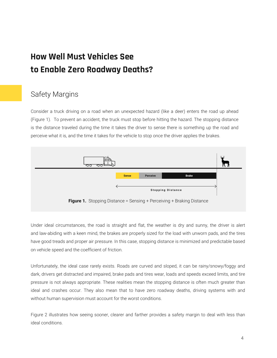# **How Well Must Vehicles See to Enable Zero Roadway Deaths?**

# Safety Margins

Consider a truck driving on a road when an unexpected hazard (like a deer) enters the road up ahead (Figure 1). To prevent an accident, the truck must stop before hitting the hazard. The stopping distance is the distance traveled during the time it takes the driver to sense there is something up the road and perceive what it is, and the time it takes for the vehicle to stop once the driver applies the brakes.



Under ideal circumstances, the road is straight and flat, the weather is dry and sunny, the driver is alert and law-abiding with a keen mind, the brakes are properly sized for the load with unworn pads, and the tires have good treads and proper air pressure. In this case, stopping distance is minimized and predictable based on vehicle speed and the coefficient of friction.

Unfortunately, the ideal case rarely exists. Roads are curved and sloped, it can be rainy/snowy/foggy and dark, drivers get distracted and impaired, brake pads and tires wear, loads and speeds exceed limits, and tire pressure is not always appropriate. These realities mean the stopping distance is often much greater than ideal and crashes occur. They also mean that to have zero roadway deaths, driving systems with and without human supervision must account for the worst conditions.

Figure 2 illustrates how seeing sooner, clearer and farther provides a safety margin to deal with less than ideal conditions.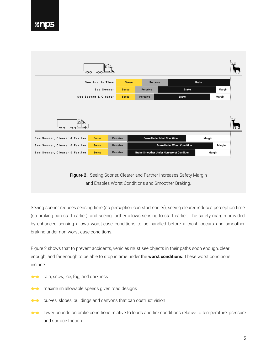

Seeing sooner reduces sensing time (so perception can start earlier), seeing clearer reduces perception time (so braking can start earlier), and seeing farther allows sensing to start earlier. The safety margin provided by enhanced sensing allows worst-case conditions to be handled before a crash occurs and smoother braking under non-worst-case conditions.

Figure 2 shows that to prevent accidents, vehicles must see objects in their paths soon enough, clear enough, and far enough to be able to stop in time under the **worst conditions**. These worst conditions include:

- rain, snow, ice, fog, and darkness
- **Maximum allowable speeds given road designs**
- curves, slopes, buildings and canyons that can obstruct vision
- lower bounds on brake conditions relative to loads and tire conditions relative to temperature, pressure  $\bullet$ and surface friction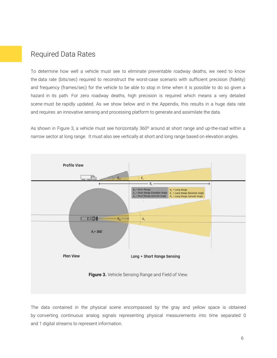#### Required Data Rates

To determine how well a vehicle must see to eliminate preventable roadway deaths, we need to know the data rate (bits/sec) required to reconstruct the worst-case scenario with sufficient precision (fidelity) and frequency (frames/sec) for the vehicle to be able to stop in time when it is possible to do so given a hazard in its path. For zero roadway deaths, high precision is required which means a very detailed scene must be rapidly updated. As we show below and in the Appendix, this results in a huge data rate and requires an innovative sensing and processing platform to generate and assimilate the data.

As shown in Figure 3, a vehicle must see horizontally 360° around at short range and up-the-road within a narrow sector at long range. It must also see vertically at short and long range based on elevation angles.



The data contained in the physical scene encompassed by the gray and yellow space is obtained by converting continuous analog signals representing physical measurements into time separated 0 and 1 digital streams to represent information.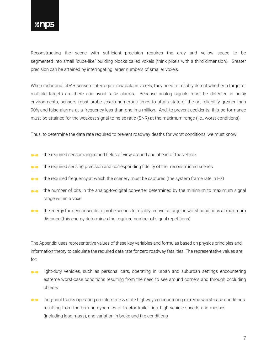#### *<b>MNDS*

Reconstructing the scene with sufficient precision requires the gray and yellow space to be segmented into small "cube-like" building blocks called voxels (think pixels with a third dimension). Greater precision can be attained by interrogating larger numbers of smaller voxels.

When radar and LiDAR sensors interrogate raw data in voxels, they need to reliably detect whether a target or multiple targets are there and avoid false alarms. Because analog signals must be detected in noisy environments, sensors must probe voxels numerous times to attain state of the art reliability greater than 90% and false alarms at a frequency less than one-in-a-million. And, to prevent accidents, this performance must be attained for the weakest signal-to-noise ratio (SNR) at the maximum range (i.e., worst-conditions).

Thus, to determine the data rate required to prevent roadway deaths for worst conditions, we must know:

- the required sensor ranges and fields of view around and ahead of the vehicle
- **the required sensing precision and corresponding fidelity of the reconstructed scenes**
- the required frequency at which the scenery must be captured (the system frame rate in Hz)
- the number of bits in the analog-to-digital converter determined by the minimum to maximum signal range within a voxel
- the energy the sensor sends to probe scenes to reliably recover a target in worst conditions at maximum distance (this energy determines the required number of signal repetitions)

The Appendix uses representative values of these key variables and formulas based on physics principles and information theory to calculate the required data rate for zero roadway fatalities. The representative values are for:

- light-duty vehicles, such as personal cars, operating in urban and suburban settings encountering  $\bullet$ extreme worst-case conditions resulting from the need to see around corners and through occluding objects
- long-haul trucks operating on interstate & state highways encountering extreme worst-case conditions  $\bullet$ resulting from the braking dynamics of tractor-trailer rigs, high vehicle speeds and masses (including load mass), and variation in brake and tire conditions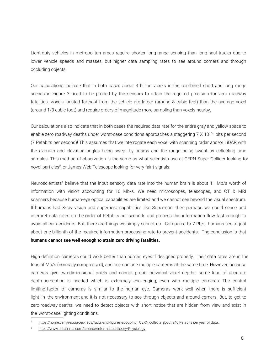Light-duty vehicles in metropolitan areas require shorter long-range sensing than long-haul trucks due to lower vehicle speeds and masses, but higher data sampling rates to see around corners and through occluding objects.

Our calculations indicate that in both cases about 3 billion voxels in the combined short and long range scenes in Figure 3 need to be probed by the sensors to attain the required precision for zero roadway fatalities. Voxels located farthest from the vehicle are larger (around 8 cubic feet) than the average voxel (around 1/3 cubic foot) and require orders of magnitude more sampling than voxels nearby.

Our calculations also indicate that in both cases the required data rate for the entire gray and yellow space to enable zero roadway deaths under worst-case conditions approaches a staggering 7 X 10<sup>15</sup> bits per second (7 Petabits per second)! This assumes that we interrogate each voxel with scanning radar and/or LiDAR with the azimuth and elevation angles being swept by beams and the range being swept by collecting time samples. This method of observation is the same as what scientists use at CERN Super Collider looking for novel particles<sup>2</sup>, or James Web Telescope looking for very faint signals.

Neuroscientists<sup>3</sup> believe that the input sensory data rate into the human brain is about 11 Mb/s worth of information with vision accounting for 10 Mb/s. We need microscopes, telescopes, and CT & MRI scanners because human-eye optical capabilities are limited and we cannot see beyond the visual spectrum. If humans had X-ray vision and superhero capabilities like Superman, then perhaps we could sense and interpret data rates on the order of Petabits per seconds and process this information flow fast enough to avoid all car accidents. But, there are things we simply cannot do. Compared to 7 Pb/s, humans see at just about one-billionth of the required information processing rate to prevent accidents. The conclusion is that **humans cannot see well enough to attain zero driving fatalities.** 

High definition cameras could work better than human eyes if designed properly. Their data rates are in the tens of Mb/s (normally compressed), and one can use multiple cameras at the same time. However, because cameras give two-dimensional pixels and cannot probe individual voxel depths, some kind of accurate depth perception is needed which is extremely challenging, even with multiple cameras. The central limiting factor of cameras is similar to the human eye. Cameras work well when there is sufficient light in the environment and it is not necessary to see through objects and around corners. But, to get to zero roadway deaths, we need to detect objects with short notice that are hidden from view and exist in the worst-case lighting conditions.

<sup>2</sup> https://home.cern/resources/faqs/facts-and-figures-about-lhc CERN collects about 240 Petabits per year of data.

<sup>3</sup> https://www.britannica.com/science/information-theory/Physiology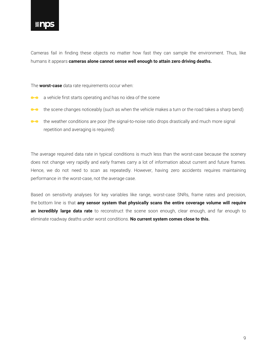Cameras fail in finding these objects no matter how fast they can sample the environment. Thus, like humans it appears **cameras alone cannot sense well enough to attain zero driving deaths.**

The **worst-case** data rate requirements occur when:

- **a** a vehicle first starts operating and has no idea of the scene
- the scene changes noticeably (such as when the vehicle makes a turn or the road takes a sharp bend)
- the weather conditions are poor (the signal-to-noise ratio drops drastically and much more signal repetition and averaging is required)

The average required data rate in typical conditions is much less than the worst-case because the scenery does not change very rapidly and early frames carry a lot of information about current and future frames. Hence, we do not need to scan as repeatedly. However, having zero accidents requires maintaining performance in the worst-case, not the average case.

Based on sensitivity analyses for key variables like range, worst-case SNRs, frame rates and precision, the bottom line is that **any sensor system that physically scans the entire coverage volume will require an incredibly large data rate** to reconstruct the scene soon enough, clear enough, and far enough to eliminate roadway deaths under worst conditions. **No current system comes close to this.**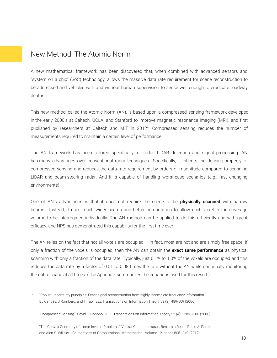#### New Method: The Atomic Norm

A new mathematical framework has been discovered that, when combined with advanced sensors and "system on a chip" (SoC) technology, allows the massive data rate requirement for scene reconstruction to be addressed and vehicles with and without human supervision to sense well enough to eradicate roadway deaths.

This new method, called the Atomic Norm (AN), is based upon a compressed sensing framework developed in the early 2000's at Caltech, UCLA, and Stanford to improve magnetic resonance imaging (MRI), and first published by researchers at Caltech and MIT in 2012<sup>4</sup> . Compressed sensing reduces the number of measurements required to maintain a certain level of performance.

The AN framework has been tailored specifically for radar, LiDAR detection and signal processing. AN has many advantages over conventional radar techniques. Specifically, it inherits the defining property of compressed sensing and reduces the data rate requirement by orders of magnitude compared to scanning LiDAR and beam-steering radar. And it is capable of handling worst-case scenarios (e.g., fast changing environments).

One of AN's advantages is that it does not require the scene to be **physically scanned** with narrow beams. Instead, it uses much wider beams and better computation to allow each voxel in the coverage volume to be interrogated individually. The AN method can be applied to do this efficiently and with great efficacy, and NPS has demonstrated this capability for the first time ever.

The AN relies on the fact that not all voxels are occupied  $-$  in fact, most are not and are simply free space. If only a fraction of the voxels is occupied, then the AN can obtain the **exact same performance** as physical scanning with only a fraction of the data rate. Typically, just 0.1% to 1.0% of the voxels are occupied and this reduces the data rate by a factor of 0.01 to 0.08 times the rate without the AN while continually monitoring the entire space at all times. (The Appendix summarizes the equations used for this result.)

<sup>4</sup> "Robust uncertainty principles: Exact signal reconstruction from highly incomplete frequency information." EJ Candès, J Romberg, and T Tao. IEEE Transactions on Information Theory 52 (2), 489-509 (2006)

<sup>&</sup>quot;Compressed Sensing". David L. Donoho. IEEE Transactions on Information Theory 52 (4): 1289-1306 (2006)

<sup>&</sup>quot;The Convex Geometry of Linear Inverse Problems". Venkat Chandrasekaran, Benjamin Recht, Pablo A. Parrilo and Alan S. Willsky. Foundations of Computational Mathematics. Volume 12, pages 805–849 (2012)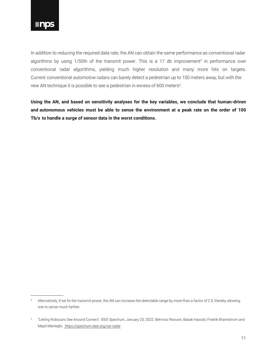

In addition to reducing the required data rate, the AN can obtain the same performance as conventional radar algorithms by using 1/50th of the transmit power. This is a 17 db improvement<sup>5</sup> in performance over conventional radar algorithms, yielding much higher resolution and many more hits on targets. Current conventional automotive radars can barely detect a pedestrian up to 100 meters away, but with the new AN technique it is possible to see a pedestrian in excess of 600 meters<sup>6</sup>.

**Using the AN, and based on sensitivity analyses for the key variables, we conclude that human-driven and autonomous vehicles must be able to sense the environment at a peak rate on the order of 100 Tb/s to handle a surge of sensor data in the worst conditions.** 

<sup>5</sup> Alternatively, if we fix the transmit power, the AN can increase the detectable range by more than a factor of 2.5, thereby allowing one to sense much farther.

<sup>6</sup> "Letting Robocars See Around Corners". IEEE Spectrum, January 23, 2022. Behrooz Rezvani, Babak Hassibi, Fredrik Brannstrom and Majid Manteghi. https://spectrum.ieee.org/car-radar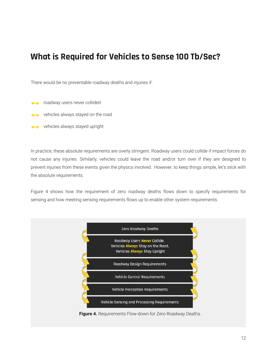# **What is Required for Vehicles to Sense 100 Tb/Sec?**

There would be no preventable roadway deaths and injuries if:

- roadway users never collided
- vehicles always stayed on the road
- vehicles always stayed upright

In practice, these absolute requirements are overly stringent. Roadway users could collide if impact forces do not cause any injuries. Similarly, vehicles could leave the road and/or turn over if they are designed to prevent injuries from these events given the physics involved. However, to keep things simple, let's stick with the absolute requirements.

Figure 4 shows how the requirement of zero roadway deaths flows down to specify requirements for sensing and how meeting sensing requirements flows up to enable other system requirements.



**Figure 4.** Requirements Flow-down for Zero Roadway Deaths.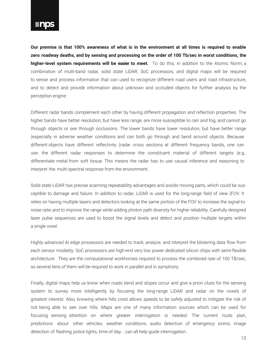

**Our premise is that 100% awareness of what is in the environment at all times is required to enable zero roadway deaths, and by sensing and processing on the order of 100 Tb/sec in worst conditions, the higher-level system requirements will be easier to meet.** To do this, in addition to the Atomic Norm, a combination of multi-band radar, solid state LiDAR, SoC processors, and digital maps will be required to sense and process information that can used to recognize different road users and road infrastructure, and to detect and provide information about unknown and occluded objects for further analysis by the perception engine.

Different radar bands complement each other by having different propagation and reflection properties. The higher bands have better resolution, but have less range, are more susceptible to rain and fog, and cannot go through objects or see through occlusions. The lower bands have lower resolution, but have better range (especially in adverse weather conditions and can both go through and bend around objects. Because different objects have different reflectivity (radar cross sections at different frequency bands, one can use the different radar responses to determine the constituent material of different targets (e.g., differentiate metal from soft tissue. This means the radar has to use causal inference and reasoning to interpret the multi-spectral response from the environment.

Solid state LiDAR has precise scanning repeatability advantages and avoids moving parts, which could be susceptible to damage and failure. In addition to radar, LiDAR is used for the long-range field of view (FOV. It relies on having multiple lasers and detectors looking at the same portion of the FOV to increase the signal-tonoise ratio and to improve the range while adding photon path diversity for higher reliability. Carefully designed laser pulse sequences are used to boost the signal levels and detect and position multiple targets within a single voxel.

Highly advanced AI edge processors are needed to track, analyze, and interpret the blistering data flow from each sensor modality. SoC processors are high-end very low power dedicated silicon chips with semi-flexible architecture. They are the computational workhorses required to process the combined rate of 100 TB/sec, so several tens of them will be required to work in parallel and in symphony.

Finally, digital maps help us know when roads bend and slopes occur and give a priori clues for the sensing system to survey more intelligently by focusing the long-range LiDAR and radar on the voxels of greatest interest. Also, knowing where hills crest allows speeds to be safely adjusted to mitigate the risk of not being able to see over hills. Maps are one of many information sources which can be used for focusing sensing attention on where greater interrogation is needed. The current route plan, predictions about other vehicles, weather conditions, audio detection of emergency sirens, image detection of flashing police lights, time of day... can all help guide interrogation.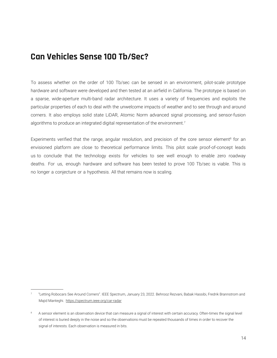## **Can Vehicles Sense 100 Tb/Sec?**

To assess whether on the order of 100 Tb/sec can be sensed in an environment, pilot-scale prototype hardware and software were developed and then tested at an airfield in California. The prototype is based on a sparse, wide-aperture multi-band radar architecture. It uses a variety of frequencies and exploits the particular properties of each to deal with the unwelcome impacts of weather and to see through and around corners. It also employs solid state LiDAR, Atomic Norm advanced signal processing, and sensor-fusion algorithms to produce an integrated digital representation of the environment.<sup>7</sup>

Experiments verified that the range, angular resolution, and precision of the core sensor element<sup>8</sup> for an envisioned platform are close to theoretical performance limits. This pilot scale proof-of-concept leads us to conclude that the technology exists for vehicles to see well enough to enable zero roadway deaths. For us, enough hardware and software has been tested to prove 100 Tb/sec is viable. This is no longer a conjecture or a hypothesis. All that remains now is scaling.

<sup>7</sup> "Letting Robocars See Around Corners". IEEE Spectrum, January 23, 2022. Behrooz Rezvani, Babak Hassibi, Fredrik Brannstrom and Majid Manteghi. https://spectrum.ieee.org/car-radar

<sup>8</sup> A sensor element is an observation device that can measure a signal of interest with certain accuracy. Often-times the signal level of interest is buried deeply in the noise and so the observations must be repeated thousands of times in order to recover the signal of interests. Each observation is measured in bits.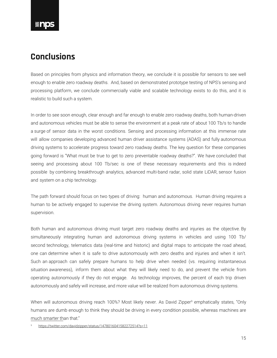#### **%nos**

# **Conclusions**

Based on principles from physics and information theory, we conclude it is possible for sensors to see well enough to enable zero roadway deaths. And, based on demonstrated prototype testing of NPS's sensing and processing platform, we conclude commercially viable and scalable technology exists to do this, and it is realistic to build such a system.

In order to see soon enough, clear enough and far enough to enable zero roadway deaths, both human-driven and autonomous vehicles must be able to sense the environment at a peak rate of about 100 Tb/s to handle a surge of sensor data in the worst conditions. Sensing and processing information at this immense rate will allow companies developing advanced human driver assistance systems (ADAS) and fully autonomous driving systems to accelerate progress toward zero roadway deaths. The key question for these companies going forward is "What must be true to get to zero preventable roadway deaths?". We have concluded that seeing and processing about 100 Tb/sec is one of these necessary requirements and this is indeed possible by combining breakthrough analytics, advanced multi-band radar, solid state LiDAR, sensor fusion and system on a chip technology.

The path forward should focus on two types of driving: human and autonomous. Human driving requires a human to be actively engaged to supervise the driving system. Autonomous driving never requires human supervision.

Both human and autonomous driving must target zero roadway deaths and injuries as the objective. By simultaneously integrating human and autonomous driving systems in vehicles and using 100 Tb/ second technology, telematics data (real-time and historic) and digital maps to anticipate the road ahead, one can determine when it is safe to drive autonomously with zero deaths and injuries and when it isn't. Such an approach can safely prepare humans to help drive when needed (vs. requiring instantaneous situation awareness), inform them about what they will likely need to do, and prevent the vehicle from operating autonomously if they do not engage. As technology improves, the percent of each trip driven autonomously and safely will increase, and more value will be realized from autonomous driving systems.

When will autonomous driving reach 100%? Most likely never. As David Zipper<sup>9</sup> emphatically states, "Only humans are dumb enough to think they should be driving in every condition possible, whereas machines are much smarter than that."

https://twitter.com/davidzipper/status/1478016041582272514?s=11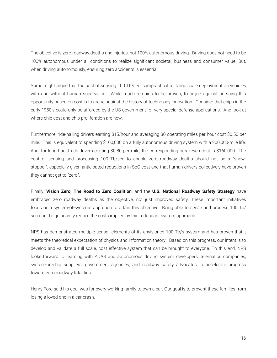The objective is zero roadway deaths and injuries, not 100% autonomous driving. Driving does not need to be 100% autonomous under all conditions to realize significant societal, business and consumer value. But, when driving autonomously, ensuring zero accidents is essential.

Some might argue that the cost of sensing 100 Tb/sec is impractical for large scale deployment on vehicles with and without human supervision. While much remains to be proven, to argue against pursuing this opportunity based on cost is to argue against the history of technology innovation. Consider that chips in the early 1950's could only be afforded by the US government for very special defense applications. And look at where chip cost and chip proliferation are now.

Furthermore, ride-hailing drivers earning \$15/hour and averaging 30 operating miles per hour cost \$0.50 per mile. This is equivalent to spending \$100,000 on a fully autonomous driving system with a 200,000-mile life. And, for long haul truck drivers costing \$0.80 per mile, the corresponding breakeven cost is \$160,000. The cost of sensing and processing 100 Tb/sec to enable zero roadway deaths should not be a "showstopper", especially given anticipated reductions in SoC cost and that human drivers collectively have proven they cannot get to "zero".

Finally, **Vision Zero, The Road to Zero Coalition**, and the **U.S. National Roadway Safety Strategy** have embraced zero roadway deaths as the objective, not just improved safety. These important initiatives focus on a system-of-systems approach to attain this objective. Being able to sense and process 100 Tb/ sec could significantly reduce the costs implied by this redundant system approach.

NPS has demonstrated multiple sensor elements of its envisioned 100 Tb/s system and has proven that it meets the theoretical expectation of physics and information theory. Based on this progress, our intent is to develop and validate a full scale, cost effective system that can be brought to everyone. To this end, NPS looks forward to teaming with ADAS and autonomous driving system developers, telematics companies, system-on-chip suppliers, government agencies, and roadway safety advocates to accelerate progress toward zero roadway fatalities.

Henry Ford said his goal was for every working family to own a car. Our goal is to prevent these families from losing a loved one in a car crash.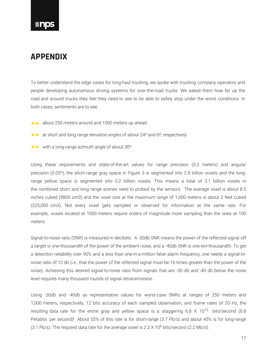#### *<b>Inps*

### **APPENDIX**

To better understand the edge cases for long-haul trucking, we spoke with trucking company operators and people developing autonomous driving systems for over-the-road trucks. We asked them how far up the road and around trucks they feel they need to see to be able to safely stop under the worst conditions. In both cases, sentiments are to see:

- **about 250 meters around and 1000 meters up ahead**
- $\bullet\bullet\bullet$  at short and long range elevation angles of about 24 $\circ$  and 6 $\circ$ , respectively
- with a long-range azimuth angle of about 30°

Using these requirements and state-of-the-art values for range precision (0.3 meters) and angular precision (0.05°), the short-range gray space in Figure 3 is segmented into 2.9 billion voxels and the longrange yellow space is segmented into 0.2 billion voxels. This means a total of 3.1 billion voxels in the combined short and long range scenes need to probed by the sensors. The average voxel is about 8.5 inches cubed (9800 cm3) and the voxel size at the maximum range of 1,000 meters is about 2 feet cubed (225,000 cm3). Not every voxel gets sampled or observed for information at the same rate. For example, voxels located at 1000 meters require orders of magnitude more sampling than the ones at 100 meters.

Signal-to-noise ratio (SNR) is measured in decibels. A -30db SNR means the power of the reflected signal off a target is one-thousandth of the power of the ambient noise, and a -40db SNR is one-ten-thousandth. To get a detection reliability over 90% and a less than one-in-a-million false alarm frequency, one needs a signal-tonoise ratio of 12 db (i.e., that the power of the reflected signal must be 16 times greater than the power of the noise). Achieving this desired signal-to-noise ratio from signals that are -30 db and -40 db below the noise level requires many thousand rounds of signal retransmission.

Using -30db and -40db as representative values for worst-case SNRs at ranges of 250 meters and 1,000 meters, respectively, 12 bits accuracy of each sampled observation, and frame rates of 20 Hz, the resulting data rate for the entire gray and yellow space is a staggering 6.8  $\times$  10<sup>15</sup> bits/second (6.8) Petabits per second)! About 55% of this rate is for short-range (3.7 Pb/s) and about 45% is for long-range (3.1 Pb/s). The required data rate for the average voxel is 2.2 X 106 bits/second (2.2 Mb/s).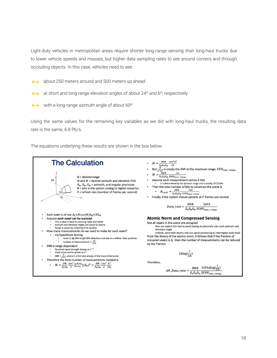Light-duty vehicles in metropolitan areas require shorter long-range sensing than long-haul trucks due to lower vehicle speeds and masses, but higher data sampling rates to see around corners and through occluding objects. In this case, vehicles need to see:

- about 250 meters around and 500 meters up ahead
- at short and long range elevation angles of about 24<sup>o</sup> and 6<sup>o</sup>, respectively
- with a long-range azimuth angle of about 60<sup>o</sup>

Using the same values for the remaining key variables as we did with long-haul trucks, the resulting data rate is the same, 6.8 Pb/s.

The equations underlying these results are shown in the box below.

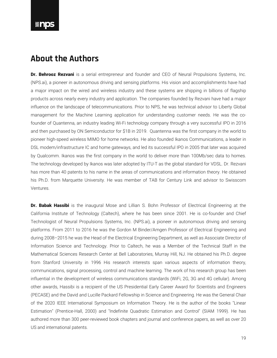#### **About the Authors**

Dr. Behrooz Rezvani is a serial entrepreneur and founder and CEO of Neural Propulsions Systems, Inc. (NPS.ai), a pioneer in autonomous driving and sensing platforms. His vision and accomplishments have had a major impact on the wired and wireless industry and these systems are shipping in billions of flagship products across nearly every industry and application. The companies founded by Rezvani have had a major influence on the landscape of telecommunications. Prior to NPS, he was technical advisor to Liberty Global management for the Machine Learning application for understanding customer needs. He was the cofounder of Quantenna, an industry leading Wi-Fi technology company through a very successful IPO in 2016 and then purchased by ON Semiconductor for \$1B in 2019. Quantenna was the first company in the world to pioneer high-speed wireless MIMO for home networks. He also founded Ikanos Communications, a leader in DSL modem/infrastructure IC and home gateways, and led its successful IPO in 2005 that later was acquired by Qualcomm. Ikanos was the first company in the world to deliver more than 100Mb/sec data to homes. The technology developed by Ikanos was later adopted by ITU-T as the global standard for VDSL. Dr. Rezvani has more than 40 patents to his name in the areas of communications and information theory. He obtained his Ph.D. from Marquette University. He was member of TAB for Century Link and advisor to Swisscom Ventures.

Dr. Babak Hassibi is the inaugural Mose and Lillian S. Bohn Professor of Electrical Engineering at the California Institute of Technology (Caltech), where he has been since 2001. He is co-founder and Chief Technologist of Neural Propulsions Systems, Inc. (NPS.ai), a pioneer in autonomous driving and sensing platforms. From 2011 to 2016 he was the Gordon M Binder/Amgen Professor of Electrical Engineering and during 2008–2015 he was the Head of the Electrical Engineering Department, as well as Associate Director of Information Science and Technology. Prior to Caltech, he was a Member of the Technical Staff in the Mathematical Sciences Research Center at Bell Laboratories, Murray Hill, NJ. He obtained his Ph.D. degree from Stanford University in 1996 His research interests span various aspects of information theory, communications, signal processing, control and machine learning. The work of his research group has been influential in the development of wireless communications standards (WiFi, 2G, 3G and 4G cellular). Among other awards, Hassibi is a recipient of the US Presidential Early Career Award for Scientists and Engineers (PECASE) and the David and Lucille Packard Fellowship in Science and Engineering. He was the General Chair of the 2020 IEEE International Symposium on Information Theory. He is the author of the books "Linear Estimation" (Prentice-Hall, 2000) and "Indefinite Quadratic Estimation and Control" (SIAM 1999). He has authored more than 300 peer-reviewed book chapters and journal and conference papers, as well as over 20 US and international patents.